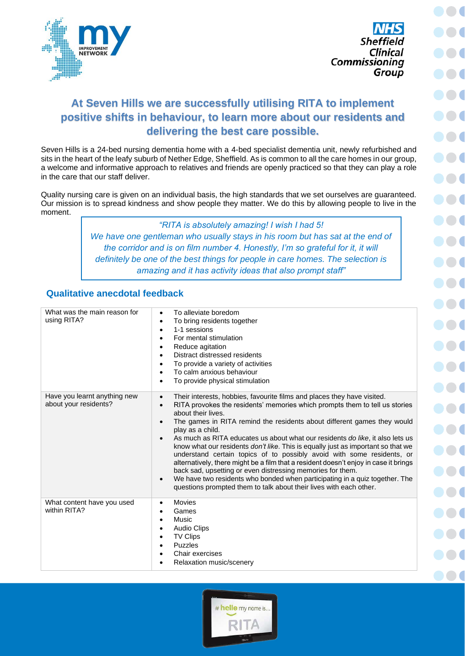



## **At Seven Hills we are successfully utilising RITA to implement positive shifts in behaviour, to learn more about our residents and delivering the best care possible.**

Seven Hills is a 24-bed nursing dementia home with a 4-bed specialist dementia unit, newly refurbished and sits in the heart of the leafy suburb of Nether Edge, Sheffield. As is common to all the care homes in our group, a welcome and informative approach to relatives and friends are openly practiced so that they can play a role in the care that our staff deliver.

Quality nursing care is given on an individual basis, the high standards that we set ourselves are guaranteed. Our mission is to spread kindness and show people they matter. We do this by allowing people to live in the moment.

> *"RITA is absolutely amazing! I wish I had 5!* We have one gentleman who usually stays in his room but has sat at the end of *the corridor and is on film number 4. Honestly, I'm so grateful for it, it will definitely be one of the best things for people in care homes. The selection is amazing and it has activity ideas that also prompt staff"*

## **Qualitative anecdotal feedback**

| What was the main reason for<br>using RITA?           | To alleviate boredom<br>To bring residents together<br>1-1 sessions<br>For mental stimulation<br>Reduce agitation<br>Distract distressed residents<br>To provide a variety of activities<br>To calm anxious behaviour<br>To provide physical stimulation                                                                                                                                                                                                                                                                                                                                                                                                                                                                                                                                                                                           |
|-------------------------------------------------------|----------------------------------------------------------------------------------------------------------------------------------------------------------------------------------------------------------------------------------------------------------------------------------------------------------------------------------------------------------------------------------------------------------------------------------------------------------------------------------------------------------------------------------------------------------------------------------------------------------------------------------------------------------------------------------------------------------------------------------------------------------------------------------------------------------------------------------------------------|
| Have you learnt anything new<br>about your residents? | Their interests, hobbies, favourite films and places they have visited.<br>RITA provokes the residents' memories which prompts them to tell us stories<br>$\bullet$<br>about their lives.<br>The games in RITA remind the residents about different games they would<br>play as a child.<br>As much as RITA educates us about what our residents do like, it also lets us<br>know what our residents don't like. This is equally just as important so that we<br>understand certain topics of to possibly avoid with some residents, or<br>alternatively, there might be a film that a resident doesn't enjoy in case it brings<br>back sad, upsetting or even distressing memories for them.<br>We have two residents who bonded when participating in a quiz together. The<br>questions prompted them to talk about their lives with each other. |
| What content have you used<br>within RITA?            | Movies<br>Games<br>Music<br><b>Audio Clips</b><br><b>TV Clips</b><br><b>Puzzles</b><br>Chair exercises<br>Relaxation music/scenery                                                                                                                                                                                                                                                                                                                                                                                                                                                                                                                                                                                                                                                                                                                 |